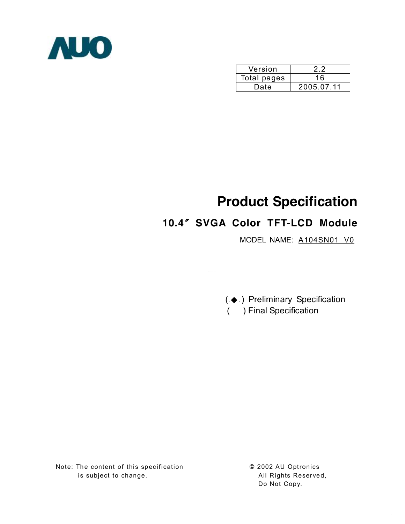

| Version     | ני ני      |
|-------------|------------|
| Total pages | 16         |
| Date        | 2005.07.11 |

# **Product Specification**

# **10.4**〞**SVGA Color TFT-LCD Module**

MODEL NAME: A104SN01 V0

(.◆ .) Preliminary Specification ( ) Final Specification

Note: The content of this specification is subject to change.

**©** 2002 AU Optronics All Rights Reser ved, Do Not Copy.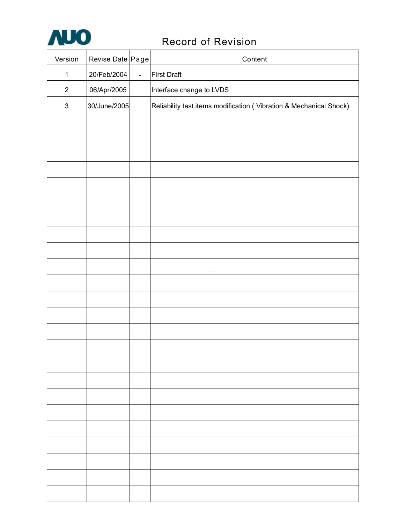

# Record of Revision

| Version                   | Revise Date Page |                | Content                                                            |
|---------------------------|------------------|----------------|--------------------------------------------------------------------|
| $\mathbf{1}$              | 20/Feb/2004      | $\overline{a}$ | <b>First Draft</b>                                                 |
| $\mathbf{2}$              | 06/Apr/2005      |                | Interface change to LVDS                                           |
| $\ensuremath{\mathsf{3}}$ | 30/June/2005     |                | Reliability test items modification (Vibration & Mechanical Shock) |
|                           |                  |                |                                                                    |
|                           |                  |                |                                                                    |
|                           |                  |                |                                                                    |
|                           |                  |                |                                                                    |
|                           |                  |                |                                                                    |
|                           |                  |                |                                                                    |
|                           |                  |                |                                                                    |
|                           |                  |                |                                                                    |
|                           |                  |                |                                                                    |
|                           |                  |                |                                                                    |
|                           |                  |                |                                                                    |
|                           |                  |                |                                                                    |
|                           |                  |                |                                                                    |
|                           |                  |                |                                                                    |
|                           |                  |                |                                                                    |
|                           |                  |                |                                                                    |
|                           |                  |                |                                                                    |
|                           |                  |                |                                                                    |
|                           |                  |                |                                                                    |
|                           |                  |                |                                                                    |
|                           |                  |                |                                                                    |
|                           |                  |                |                                                                    |
|                           |                  |                |                                                                    |
|                           |                  |                |                                                                    |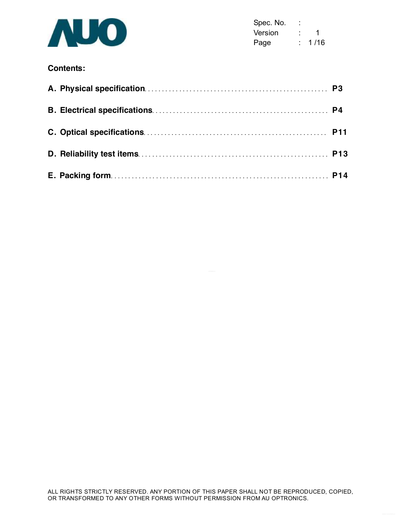

Spec. No. : Version : 1 Page : 1/16

# **Contents:**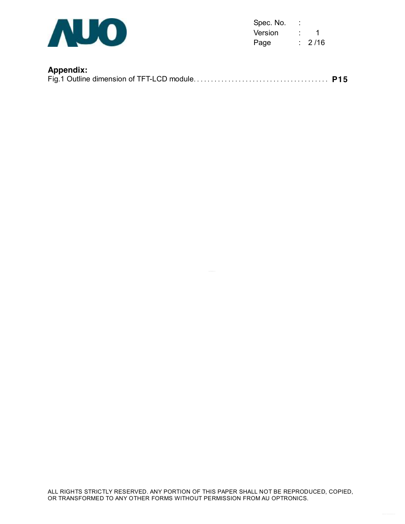

Spec. No. : Version : 1 Page : 2/16

# **Appendix:**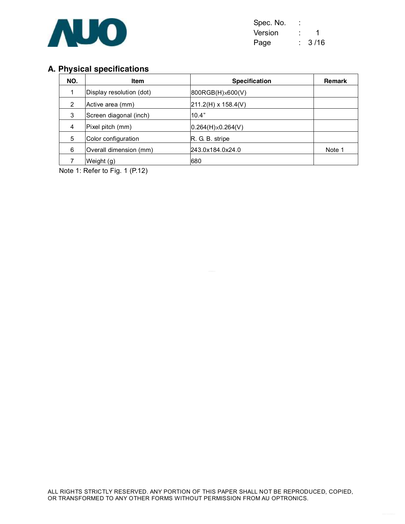

| Spec. No. |      |
|-----------|------|
| Version   | 1    |
| Page      | 3/16 |

# **A. Physical specifications**

| NO. | <b>Item</b>              | <b>Specification</b>       | <b>Remark</b> |
|-----|--------------------------|----------------------------|---------------|
| 1   | Display resolution (dot) | $800RGB(H)\times600(V)$    |               |
| 2   | Active area (mm)         | 211.2(H) x 158.4(V)        |               |
| 3   | Screen diagonal (inch)   | 10.4"                      |               |
| 4   | Pixel pitch (mm)         | $0.264(H) \times 0.264(V)$ |               |
| 5   | Color configuration      | R. G. B. stripe            |               |
| 6   | Overall dimension (mm)   | 243.0x184.0x24.0           | Note 1        |
|     | Weight (g)               | 680                        |               |

Note 1: Refer to Fig. 1 (P.12)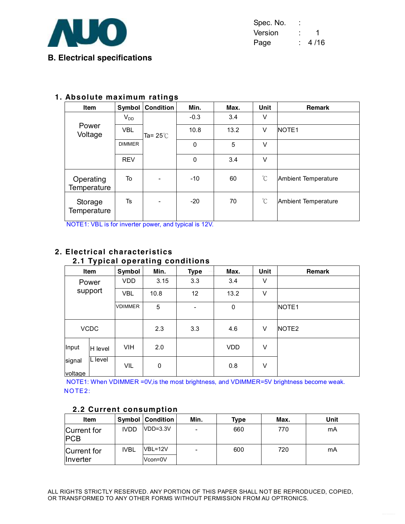

| Spec. No. | ۰ |      |
|-----------|---|------|
| Version   |   | 1    |
| Page      |   | 4/16 |

## **1. Absolute maximum ratings**

| <b>Item</b>              | Symbol        | <b>Condition</b>   | Min.   | Max. | Unit         | <b>Remark</b>       |
|--------------------------|---------------|--------------------|--------|------|--------------|---------------------|
|                          | $V_{DD}$      |                    | $-0.3$ | 3.4  | V            |                     |
| Power<br>Voltage         | <b>VBL</b>    | Ta= 25 $\degree$ C | 10.8   | 13.2 | V            | <b>NOTE1</b>        |
|                          | <b>DIMMER</b> |                    | 0      | 5    | V            |                     |
|                          | <b>REV</b>    |                    | 0      | 3.4  | V            |                     |
| Operating<br>Temperature | To            |                    | $-10$  | 60   | $^{\circ}$ C | Ambient Temperature |
| Storage<br>Temperature   | Ts            | -                  | $-20$  | 70   | $^{\circ}C$  | Ambient Temperature |

NOTE1: VBL is for inverter power, and typical is 12V.

#### **2. Electrical characteristics 2.1 Typical operating conditions**

| .<br>- 1-<br>-    |             |                |           |             |             |      |                   |  |  |
|-------------------|-------------|----------------|-----------|-------------|-------------|------|-------------------|--|--|
|                   | Item        | Symbol         | Min.      | <b>Type</b> | Max.        | Unit | <b>Remark</b>     |  |  |
| Power             |             | <b>VDD</b>     | 3.15      | 3.3         | 3.4         | V    |                   |  |  |
|                   | support     | <b>VBL</b>     | 10.8      | 12          | 13.2        | V    |                   |  |  |
|                   |             | <b>VDIMMER</b> | 5         |             | $\mathbf 0$ |      | NOTE <sub>1</sub> |  |  |
|                   | <b>VCDC</b> |                | 2.3       | 3.3         | 4.6         | V    | NOTE <sub>2</sub> |  |  |
| Input             | H level     | <b>VIH</b>     | 2.0       |             | <b>VDD</b>  | V    |                   |  |  |
| signal<br>voltage | L level     | <b>VIL</b>     | $\pmb{0}$ |             | 0.8         | V    |                   |  |  |

NOTE1: When VDIMMER =0V,is the most brightness, and VDIMMER=5V brightness become weak.NOTE2:

| <b>Item</b>               |             | <b>Symbol   Condition</b> | Min. | Type | Max. | Unit |  |  |
|---------------------------|-------------|---------------------------|------|------|------|------|--|--|
| Current for<br><b>PCB</b> | <b>IVDD</b> | $VDD=3.3V$                |      | 660  | 770  | mA   |  |  |
| Current for               | <b>IVBL</b> | VBL=12V                   |      | 600  | 720  | mA   |  |  |
| Inverter                  |             | Vcon=0V                   |      |      |      |      |  |  |

# **2.2 Current consumption**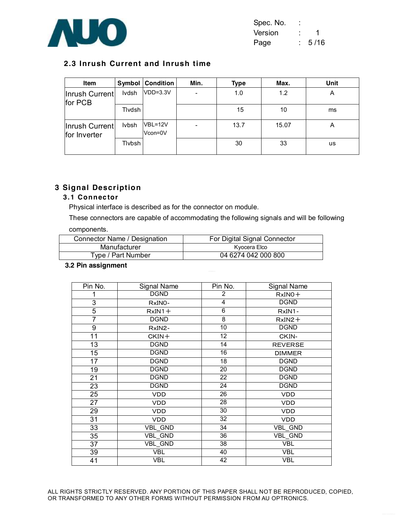

| Spec. No. | ۰ |      |
|-----------|---|------|
| Version   |   | 1    |
| Page      |   | 5/16 |

# **2.3 Inrush Current and Inrush time**

| Item                           | Symbol       | <b>Condition</b>   | Min. | Type | Max.  | Unit |
|--------------------------------|--------------|--------------------|------|------|-------|------|
| Inrush Current<br>for PCB      | Ivdsh        | $VDD=3.3V$         | ۰    | 1.0  | 1.2   | A    |
|                                | Tlvdsh       |                    |      | 15   | 10    | ms   |
| Inrush Current<br>for Inverter | <b>Ivbsh</b> | VBL=12V<br>Vcon=0V |      | 13.7 | 15.07 | A    |
|                                | Tlybsh       |                    |      | 30   | 33    | us   |

# **3 Signal Description**

#### **3.1 Connec tor**

Physical interface is described as for the connector on module.

These connectors are capable of accommodating the following signals and will be following

## components.

| Connector Name / Designation | For Digital Signal Connector |
|------------------------------|------------------------------|
| Manufacturer                 | Kyocera Elco                 |
| Type / Part Number           | 04 6274 042 000 800          |

#### **3.2 Pin assignment**

| Pin No.         | Signal Name    | Pin No.         | Signal Name    |
|-----------------|----------------|-----------------|----------------|
| 1               | <b>DGND</b>    | 2               | $RxINO +$      |
| 3               | RxINO-         | 4               | <b>DGND</b>    |
| $\overline{5}$  | $RxIN1+$       | $\overline{6}$  | RxIN1-         |
| 7               | <b>DGND</b>    | $\overline{8}$  | $RxIN2+$       |
| 9               | RxIN2-         | 10              | <b>DGND</b>    |
| 11              | $CKIN+$        | 12              | CKIN-          |
| $\overline{13}$ | <b>DGND</b>    | 14              | <b>REVERSE</b> |
| 15              | <b>DGND</b>    | $\overline{16}$ | <b>DIMMER</b>  |
| 17              | <b>DGND</b>    | 18              | <b>DGND</b>    |
| $\overline{19}$ | <b>DGND</b>    | 20              | <b>DGND</b>    |
| 21              | <b>DGND</b>    | 22              | <b>DGND</b>    |
| 23              | <b>DGND</b>    | 24              | <b>DGND</b>    |
| 25              | VDD            | 26              | VDD            |
| 27              | VDD            | 28              | <b>VDD</b>     |
| 29              | <b>VDD</b>     | 30              | <b>VDD</b>     |
| 31              | VDD            | 32              | VDD            |
| 33              | <b>VBL GND</b> | 34              | <b>VBL GND</b> |
| 35              | VBL_GND        | 36              | VBL_GND        |
| 37              | VBL_GND        | 38              | <b>VBL</b>     |
| 39              | <b>VBL</b>     | 40              | <b>VBL</b>     |
| 41              | VBL            | 42              | <b>VBL</b>     |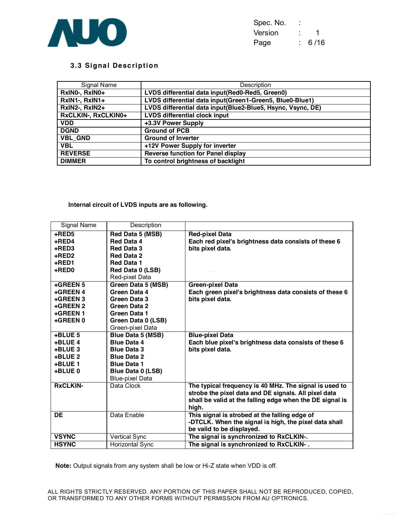

| Spec. No. |      |
|-----------|------|
| Version   |      |
| Page      | 6/16 |

#### **3.3 Signa l Desc ription**

| Signal Name         | Description                                                 |
|---------------------|-------------------------------------------------------------|
| RxIN0-, RxIN0+      | LVDS differential data input(Red0-Red5, Green0)             |
| RxIN1-, RxIN1+      | LVDS differential data input(Green1-Green5, Blue0-Blue1)    |
| RxIN2-, RxIN2+      | LVDS differential data input(Blue2-Blue5, Hsync, Vsync, DE) |
| RxCLKIN-, RxCLKIN0+ | <b>LVDS differential clock input</b>                        |
| <b>VDD</b>          | +3.3V Power Supply                                          |
| <b>DGND</b>         | <b>Ground of PCB</b>                                        |
| <b>VBL GND</b>      | <b>Ground of Inverter</b>                                   |
| <b>VBL</b>          | +12V Power Supply for inverter                              |
| <b>REVERSE</b>      | <b>Reverse function for Panel display</b>                   |
| <b>DIMMER</b>       | To control brightness of backlight                          |

#### **Internal circuit of LVDS inputs are as following.**

| <b>Signal Name</b> | Description              |                                                          |
|--------------------|--------------------------|----------------------------------------------------------|
| +RED5              | Red Data 5 (MSB)         | <b>Red-pixel Data</b>                                    |
| +RED4              | Red Data 4               | Each red pixel's brightness data consists of these 6     |
| +RED3              | <b>Red Data 3</b>        | bits pixel data.                                         |
| +RED2              | <b>Red Data 2</b>        |                                                          |
| +RED1              | <b>Red Data 1</b>        |                                                          |
| +RED0              | Red Data 0 (LSB)         |                                                          |
|                    | Red-pixel Data           |                                                          |
| +GREEN 5           | Green Data 5 (MSB)       | <b>Green-pixel Data</b>                                  |
| +GREEN 4           | Green Data 4             | Each green pixel's brightness data consists of these 6   |
| +GREEN 3           | Green Data 3             | bits pixel data.                                         |
| +GREEN 2           | Green Data 2             |                                                          |
| +GREEN 1           | Green Data 1             |                                                          |
| +GREEN 0           | Green Data 0 (LSB)       |                                                          |
|                    | Green-pixel Data         |                                                          |
| $+$ BLUE 5         | <b>Blue Data 5 (MSB)</b> | <b>Blue-pixel Data</b>                                   |
| +BLUE 4            | <b>Blue Data 4</b>       | Each blue pixel's brightness data consists of these 6    |
| +BLUE 3            | <b>Blue Data 3</b>       | bits pixel data.                                         |
| +BLUE 2            | <b>Blue Data 2</b>       |                                                          |
| +BLUE 1            | <b>Blue Data 1</b>       |                                                          |
| +BLUE 0            | <b>Blue Data 0 (LSB)</b> |                                                          |
|                    | <b>Blue-pixel Data</b>   |                                                          |
| <b>RxCLKIN-</b>    | Data Clock               | The typical frequency is 40 MHz. The signal is used to   |
|                    |                          | strobe the pixel data and DE signals. All pixel data     |
|                    |                          | shall be valid at the falling edge when the DE signal is |
|                    |                          | high.                                                    |
| DE                 | Data Enable              | This signal is strobed at the falling edge of            |
|                    |                          | -DTCLK. When the signal is high, the pixel data shall    |
|                    |                          | be valid to be displayed.                                |
| <b>VSYNC</b>       | Vertical Sync            | The signal is synchronized to RxCLKIN-.                  |
| <b>HSYNC</b>       | Horizontal Sync          | The signal is synchronized to RxCLKIN-.                  |

**Note:** Output signals from any system shall be low or Hi-Z state when VDD is off.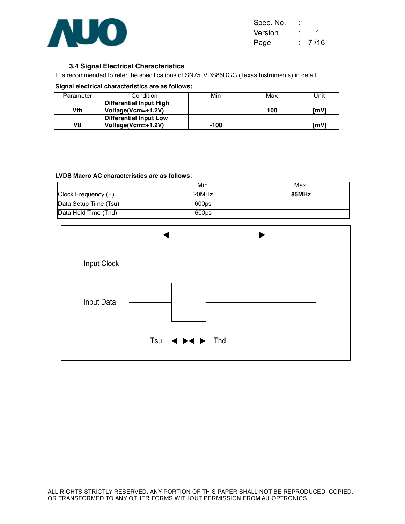

| Spec. No. |        |
|-----------|--------|
| Version   | 1      |
| Page      | 7 / 16 |

#### **3.4 Signal Electrical Characteristics**

It is recommended to refer the specifications of SN75LVDS86DGG (Texas Instruments) in detail.

**Signal electrical characteristics are as follows;**

| Parameter | Condition                                           | Min  | Max | Jnit |
|-----------|-----------------------------------------------------|------|-----|------|
| Vth       | Differential Input High<br>Voltage(Vcm=+1.2V)       |      | 100 | lmV  |
| Vtl       | <b>Differential Input Low</b><br>Voltage(Vcm=+1.2V) | -100 |     | ľmV  |

#### **LVDS Macro AC characteristics are as follows**:

|                       | Min.  | Max.  |
|-----------------------|-------|-------|
| Clock Frequency (F)   | 20MHz | 85MHz |
| Data Setup Time (Tsu) | 600ps |       |
| Data Hold Time (Thd)  | 600ps |       |

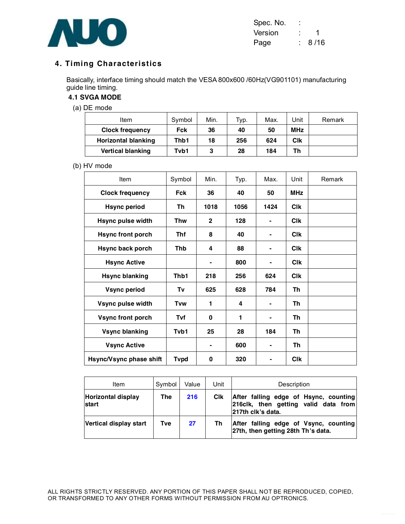

| Spec. No. |      |
|-----------|------|
| Version   |      |
| Page      | 8/16 |

# **4. Timing Characteristics**

Basically, interface timing should match the VESA 800x600 /60Hz(VG901101) manufacturing guide line timing.

# **4.1 SVGA MODE**

(a) DE mode

| Item                       | Symbol | Min. | Typ. | Max. | Unit       | Remark |
|----------------------------|--------|------|------|------|------------|--------|
| <b>Clock frequency</b>     | Fck    | 36   | 40   | 50   | <b>MHz</b> |        |
| <b>Horizontal blanking</b> | Thb1   | 18   | 256  | 624  | Clk        |        |
| <b>Vertical blanking</b>   | Tvb1   | 3    | 28   | 184  | Th         |        |

#### (b) HV mode

| Item                     | Symbol       | Min.                     | Typ. | Max.                     | Unit       | Remark |
|--------------------------|--------------|--------------------------|------|--------------------------|------------|--------|
| <b>Clock frequency</b>   | <b>Fck</b>   | 36                       | 40   | 50                       | <b>MHz</b> |        |
| <b>Hsync period</b>      | Th           | 1018                     | 1056 | 1424                     | <b>CIK</b> |        |
| <b>Hsync pulse width</b> | <b>Thw</b>   | $\mathbf{2}$             | 128  |                          | <b>CIK</b> |        |
| <b>Hsync front porch</b> | <b>Thf</b>   | 8                        | 40   |                          | <b>CIK</b> |        |
| Hsync back porch         | Thb          | 4                        | 88   | ۰                        | <b>CIK</b> |        |
| <b>Hsync Active</b>      |              | $\overline{\phantom{0}}$ | 800  |                          | <b>CIK</b> |        |
| <b>Hsync blanking</b>    | Thb1         | 218                      | 256  | 624                      | <b>CIK</b> |        |
| <b>Vsync period</b>      | Τv           | 625                      | 628  | 784                      | Th         |        |
| Vsync pulse width        | Tvw          | 1                        | 4    |                          | Th         |        |
| <b>Vsync front porch</b> | Tvf          | 0                        | 1    |                          | Th         |        |
| <b>Vsync blanking</b>    | Tvb1         | 25                       | 28   | 184                      | Th         |        |
| <b>Vsync Active</b>      |              | ۰                        | 600  | $\overline{\phantom{0}}$ | Th         |        |
| Hsync/Vsync phase shift  | <b>T</b> vpd | 0                        | 320  |                          | <b>CIK</b> |        |

| ltem                               | Symbol | Value | Unit       | Description                                                                                        |
|------------------------------------|--------|-------|------------|----------------------------------------------------------------------------------------------------|
| <b>Horizontal display</b><br>start | The    | 216   | <b>CIK</b> | After falling edge of Hsync, counting<br>216clk, then getting valid data from<br>217th clk's data. |
| Vertical display start             | Tve    | 27    | Th         | After falling edge of Vsync, counting<br>27th, then getting 28th Th's data.                        |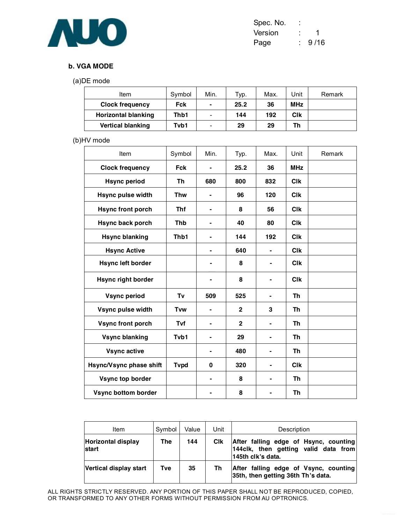

| Spec. No. |      |
|-----------|------|
| Version   | 1    |
| Page      | 9/16 |

#### **b. VGA MODE**

(a)DE mode

| Item                     | Symbol | Min.                     | Typ. | Max. | Unit       | Remark |
|--------------------------|--------|--------------------------|------|------|------------|--------|
| <b>Clock frequency</b>   | Fck    | $\blacksquare$           | 25.2 | 36   | <b>MHz</b> |        |
| Horizontal blanking      | Thb1   | -                        | 144  | 192  | Clk        |        |
| <b>Vertical blanking</b> | Tvb1   | $\overline{\phantom{0}}$ | 29   | 29   | Th         |        |

# (b)HV mode

| Item                       | Symbol      | Min.                         | Typ.         | Max. | Unit                  | Remark |
|----------------------------|-------------|------------------------------|--------------|------|-----------------------|--------|
| <b>Clock frequency</b>     | <b>Fck</b>  |                              | 25.2         | 36   | <b>MHz</b>            |        |
| <b>Hsync period</b>        | Th          | 680                          | 800          | 832  | <b>CIK</b>            |        |
| <b>Hsync pulse width</b>   | <b>Thw</b>  | ۰                            | 96           | 120  | <b>Clk</b>            |        |
| <b>Hsync front porch</b>   | <b>Thf</b>  | ۰                            | 8            | 56   | <b>CIK</b>            |        |
| Hsync back porch           | <b>Thb</b>  | ٠                            | 40           | 80   | <b>C<sub>I</sub>k</b> |        |
| <b>Hsync blanking</b>      | Thb1        | $\overline{\phantom{a}}$     | 144          | 192  | <b>Clk</b>            |        |
| <b>Hsync Active</b>        |             | $\overline{\phantom{0}}$     | 640          |      | <b>CIK</b>            |        |
| <b>Hsync left border</b>   |             |                              | 8            |      | <b>CIK</b>            |        |
| <b>Hsync right border</b>  |             | $\blacksquare$               | 8            |      | <b>C<sub>I</sub>k</b> |        |
| <b>Vsync period</b>        | Tv          | 509                          | 525          | ۰    | Th                    |        |
| Vsync pulse width          | <b>Tvw</b>  | $\qquad \qquad \blacksquare$ | $\mathbf{2}$ | 3    | Th                    |        |
| <b>Vsync front porch</b>   | Tvf         | $\blacksquare$               | $\mathbf{2}$ |      | <b>Th</b>             |        |
| <b>Vsync blanking</b>      | Tvb1        | $\blacksquare$               | 29           |      | Th                    |        |
| <b>Vsync active</b>        |             |                              | 480          |      | <b>Th</b>             |        |
| Hsync/Vsync phase shift    | <b>Tvpd</b> | $\bf{0}$                     | 320          |      | <b>Clk</b>            |        |
| Vsync top border           |             |                              | 8            |      | Th                    |        |
| <b>Vsync bottom border</b> |             |                              | 8            |      | Th                    |        |

| Item                                      | Symbol | Value | Unit | Description                                                                                         |  |  |
|-------------------------------------------|--------|-------|------|-----------------------------------------------------------------------------------------------------|--|--|
| <b>Horizontal display</b><br><b>start</b> | The    | 144   | Clk  | After falling edge of Hsync, counting<br>144 clk, then getting valid data from<br>145th clk's data. |  |  |
| Vertical display start                    | Tve    | 35    | Th   | After falling edge of Vsync, counting<br>35th, then getting 36th Th's data.                         |  |  |

ALL RIGHTS STRICTLY RESERVED. ANY PORTION OF THIS PAPER SHALL NOT BE REPRODUCED, COPIED, OR TRANSFORMED TO ANY OTHER FORMS WITHOUT PERMISSION FROM AU OPTRONICS.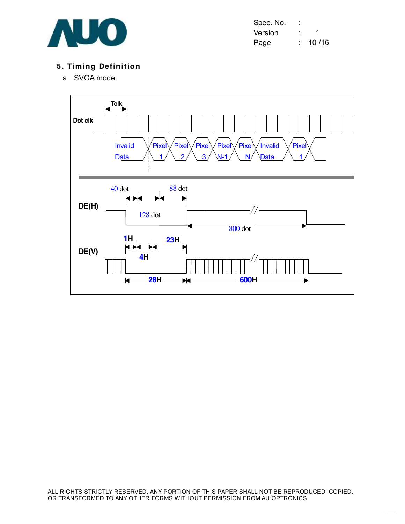

| Spec. No. | ٠ |       |
|-----------|---|-------|
| Version   |   |       |
| Page      |   | 10/16 |

# **5. Timing Definition**

a. SVGA mode

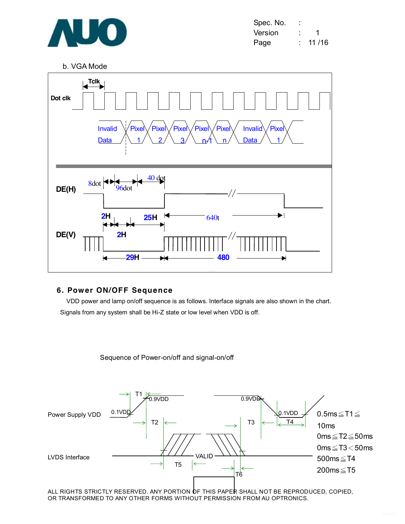

b. VGA Mode



#### **6. Power ON/OFF Sequence**

VDD power and lamp on/off sequence is as follows. Interface signals are also shown in the chart. Signals from any system shall be Hi-Z state or low level when VDD is off.

Sequence of Power-on/off and signal-on/off



ALL RIGHTS STRICTLY RESERVED. ANY PORTION OF THIS PAPER SHALL NOT BE REPRODUCED, COPIED, OR TRANSFORMED TO ANY OTHER FORMS WITHOUT PERMISSION FROM AU OPTRONICS.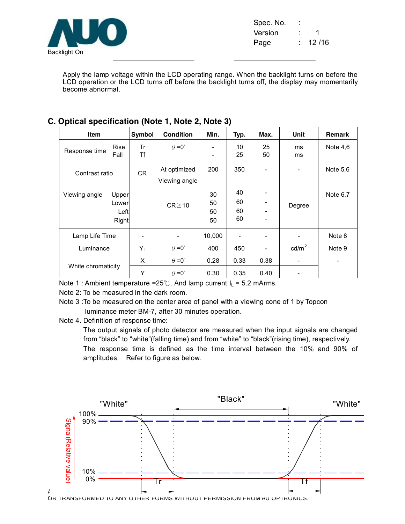

Spec. No. Version : 1 Page : 12/16

Apply the lamp voltage within the LCD operating range. When the backlight turns on before the LCD operation or the LCD turns off before the backlight turns off, the display may momentarily become abnormal.

| <b>Item</b>        |                                 | Symbol            | <b>Condition</b>              | Min.                     | Typ.                     | Max.     | Unit            | <b>Remark</b> |
|--------------------|---------------------------------|-------------------|-------------------------------|--------------------------|--------------------------|----------|-----------------|---------------|
| Response time      | Rise<br>Fall                    | Tr<br>Tf          | $\theta = 0^{\circ}$          | $\overline{\phantom{a}}$ | 10<br>25                 | 25<br>50 | ms<br>ms        | Note $4,6$    |
| Contrast ratio     |                                 | CR.               | At optimized<br>Viewing angle | 200                      | 350                      |          |                 | Note 5,6      |
| Viewing angle      | Upper<br>Lower<br>Left<br>Right |                   | $CR \ge 10$                   | 30<br>50<br>50<br>50     | 40<br>60<br>60<br>60     |          | Degree          | Note 6,7      |
| Lamp Life Time     |                                 | $\qquad \qquad -$ |                               | 10,000                   | $\overline{\phantom{a}}$ |          |                 | Note 8        |
| Luminance          |                                 | $Y_L$             | $\theta = 0^{\circ}$          | 400                      | 450                      |          | $\text{cd/m}^2$ | Note 9        |
| White chromaticity |                                 | X                 | $\theta = 0^{\circ}$          | 0.28                     | 0.33                     | 0.38     | -               |               |
|                    |                                 | Y                 | $\theta = 0^{\circ}$          | 0.30                     | 0.35                     | 0.40     |                 |               |

# **C. Optical specification (Note 1, Note 2, Note 3)**

Note 1 : Ambient temperature =25℃. And lamp current  $I_L$  = 5.2 mArms.

Note 2: To be measured in the dark room.

Note 3 :To be measured on the center area of panel with a viewing cone of 1°by Topcon luminance meter BM-7, after 30 minutes operation.

Note 4. Definition of response time:

The output signals of photo detector are measured when the input signals are changed from "black" to "white"(falling time) and from "white" to "black"(rising time), respectively. The response time is defined as the time interval between the 10% and 90% of amplitudes. Refer to figure as below.



OR TRANSFORMED TO ANY OTHER FORMS WITHOUT PERMISSION FROM AU OPTRONICS.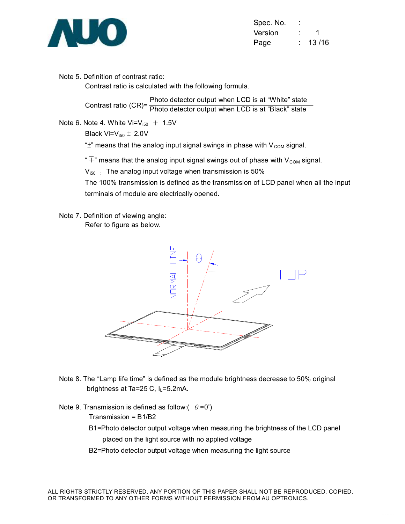

| Spec. No. |       |
|-----------|-------|
| Version   | 1     |
| Page      | 13/16 |

Note 5. Definition of contrast ratio:

Contrast ratio is calculated with the following formula.

Contrast ratio (CR)= Contrast ratio (CN)<sup>-</sup> Photo detector output when LCD is at "Black" state Photo detector output when LCD is at "White" state

Note 6. Note 4. White  $Vi=V_{150} + 1.5V$ 

Black Vi= $V_{i50} \pm 2.0V$ 

" $\pm$ " means that the analog input signal swings in phase with  $V_{COM}$  signal.

" $\overline{+}$ " means that the analog input signal swings out of phase with V<sub>COM</sub> signal.

 $V_{150}$  : The analog input voltage when transmission is 50%

The 100% transmission is defined as the transmission of LCD panel when all the input terminals of module are electrically opened.

Note 7. Definition of viewing angle: Refer to figure as below.



- Note 8. The "Lamp life time" is defined as the module brightness decrease to 50% original brightness at Ta=25°C, IL=5.2mA.
- Note 9. Transmission is defined as follow: $(\theta = 0^{\circ})$

Transmission = B1/B2

- B1=Photo detector output voltage when measuring the brightness of the LCD panel placed on the light source with no applied voltage
- B2=Photo detector output voltage when measuring the light source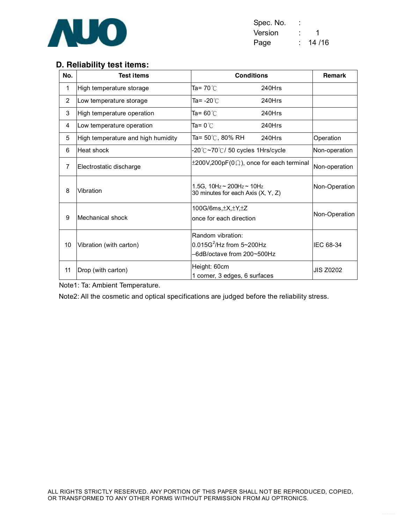

| Spec. No. |         |
|-----------|---------|
| Version   |         |
| Page      | 14 / 16 |

# **D. Reliability test items:**

| No.            | <b>Test items</b>                  | <b>Conditions</b>                                                              | <b>Remark</b> |                  |
|----------------|------------------------------------|--------------------------------------------------------------------------------|---------------|------------------|
| $\mathbf{1}$   | High temperature storage           | Ta= 70℃                                                                        | 240Hrs        |                  |
| $\overline{2}$ | Low temperature storage            | Ta= -20℃                                                                       | 240Hrs        |                  |
| 3              | High temperature operation         | Ta= 60 $°C$                                                                    | 240Hrs        |                  |
| 4              | Low temperature operation          | Ta= 0 $^{\circ}$ C                                                             | 240Hrs        |                  |
| 5              | High temperature and high humidity | Ta= $50^{\circ}$ C, 80% RH                                                     | 240Hrs        | Operation        |
| 6              | Heat shock                         | -20℃~70℃/ 50 cycles 1Hrs/cycle                                                 |               | Non-operation    |
| 7              | Electrostatic discharge            | $\pm 200$ V,200pF(0 $\Omega$ ), once for each terminal                         |               | Non-operation    |
| 8              | Vibration                          | 1.5G, $10Hz \sim 200Hz \sim 10Hz$<br>30 minutes for each Axis (X, Y, Z)        |               | Non-Operation    |
| 9              | Mechanical shock                   | 100G/6ms, $\pm$ X, $\pm$ Y, $\pm$ Z<br>once for each direction                 |               | Non-Operation    |
| 10             | Vibration (with carton)            | Random vibration:<br>$0.015G^2$ /Hz from 5~200Hz<br>-6dB/octave from 200~500Hz |               | IEC 68-34        |
| 11             | Drop (with carton)                 | Height: 60cm<br>1 corner, 3 edges, 6 surfaces                                  |               | <b>JIS Z0202</b> |

Note1: Ta: Ambient Temperature.

Note2: All the cosmetic and optical specifications are judged before the reliability stress.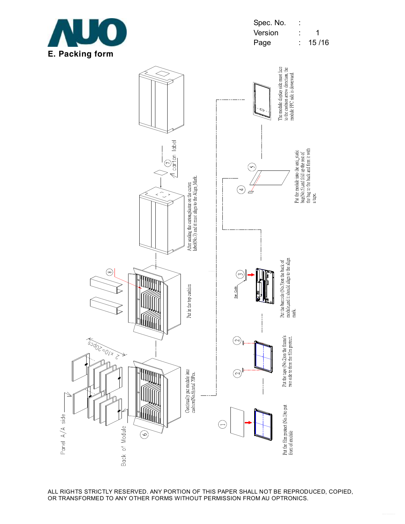

Spec. No. : Version : 1 Page : 15/16



ALL RIGHTS STRICTLY RESERVED. ANY PORTION OF THIS PAPER SHALL NOT BE REPRODUCED, COPIED, OR TRANSFORMED TO ANY OTHER FORMS WITHOUT PERMISSION FROM AU OPTRONICS.